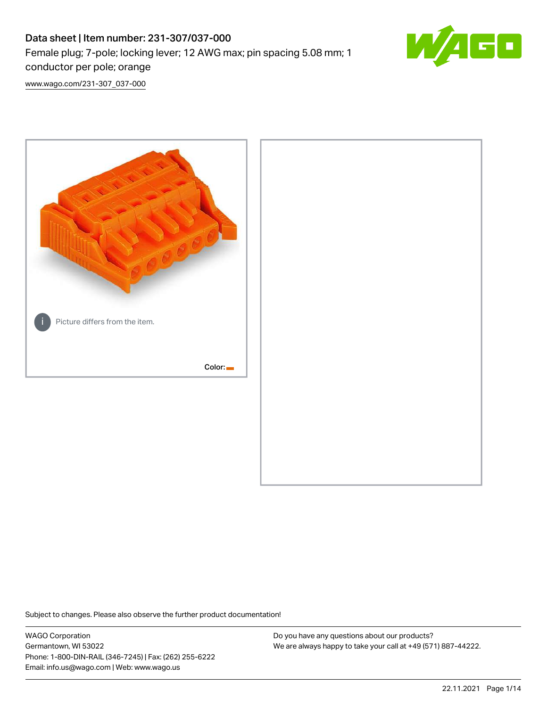# Data sheet | Item number: 231-307/037-000 Female plug; 7-pole; locking lever; 12 AWG max; pin spacing 5.08 mm; 1 conductor per pole; orange



[www.wago.com/231-307\\_037-000](http://www.wago.com/231-307_037-000)



Subject to changes. Please also observe the further product documentation!

WAGO Corporation Germantown, WI 53022 Phone: 1-800-DIN-RAIL (346-7245) | Fax: (262) 255-6222 Email: info.us@wago.com | Web: www.wago.us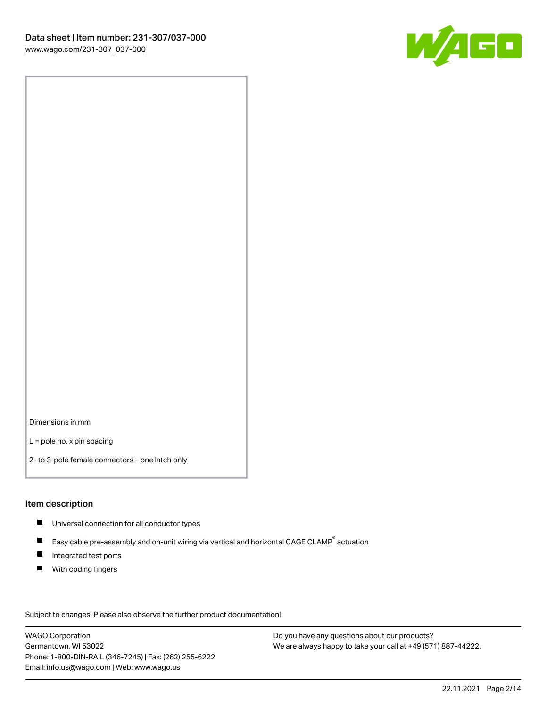

Dimensions in mm

L = pole no. x pin spacing

2- to 3-pole female connectors – one latch only

#### Item description

- **Universal connection for all conductor types**
- Easy cable pre-assembly and on-unit wiring via vertical and horizontal CAGE CLAMP<sup>®</sup> actuation  $\blacksquare$
- $\blacksquare$ Integrated test ports
- $\blacksquare$ With coding fingers

Subject to changes. Please also observe the further product documentation! Data

WAGO Corporation Germantown, WI 53022 Phone: 1-800-DIN-RAIL (346-7245) | Fax: (262) 255-6222 Email: info.us@wago.com | Web: www.wago.us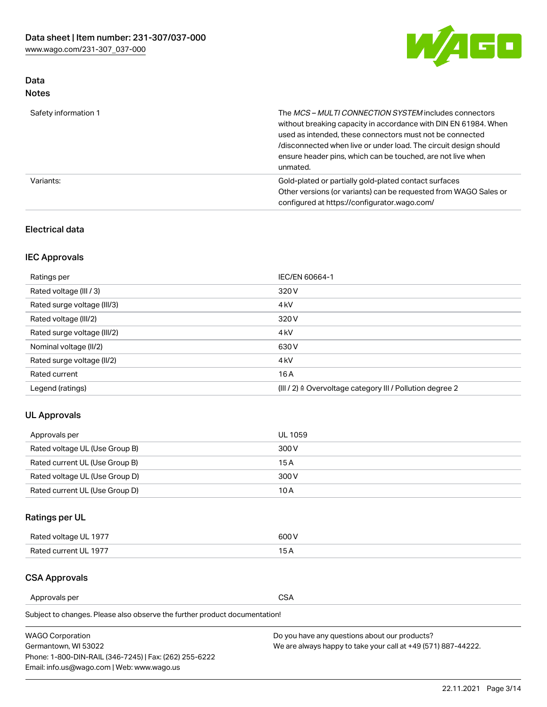

### Data Notes

| Safety information 1 | The <i>MCS – MULTI CONNECTION SYSTEM</i> includes connectors<br>without breaking capacity in accordance with DIN EN 61984. When<br>used as intended, these connectors must not be connected<br>/disconnected when live or under load. The circuit design should<br>ensure header pins, which can be touched, are not live when<br>unmated. |
|----------------------|--------------------------------------------------------------------------------------------------------------------------------------------------------------------------------------------------------------------------------------------------------------------------------------------------------------------------------------------|
| Variants:            | Gold-plated or partially gold-plated contact surfaces<br>Other versions (or variants) can be requested from WAGO Sales or<br>configured at https://configurator.wago.com/                                                                                                                                                                  |

### Electrical data

## IEC Approvals

| Ratings per                 | IEC/EN 60664-1                                                        |
|-----------------------------|-----------------------------------------------------------------------|
| Rated voltage (III / 3)     | 320 V                                                                 |
| Rated surge voltage (III/3) | 4 <sub>k</sub> V                                                      |
| Rated voltage (III/2)       | 320 V                                                                 |
| Rated surge voltage (III/2) | 4 <sub>k</sub> V                                                      |
| Nominal voltage (II/2)      | 630 V                                                                 |
| Rated surge voltage (II/2)  | 4 <sub>k</sub> V                                                      |
| Rated current               | 16A                                                                   |
| Legend (ratings)            | $(III / 2)$ $\triangle$ Overvoltage category III / Pollution degree 2 |

### UL Approvals

| Approvals per                  | UL 1059 |
|--------------------------------|---------|
| Rated voltage UL (Use Group B) | 300 V   |
| Rated current UL (Use Group B) | 15 A    |
| Rated voltage UL (Use Group D) | 300 V   |
| Rated current UL (Use Group D) | 10 A    |

# Ratings per UL

| Rated voltage UL 1977 | 300 V |
|-----------------------|-------|
| Rated current UL 1977 |       |

### CSA Approvals

Approvals per CSA

Subject to changes. Please also observe the further product documentation!

| <b>WAGO Corporation</b>                                | Do you have any questions about our products?                 |
|--------------------------------------------------------|---------------------------------------------------------------|
| Germantown, WI 53022                                   | We are always happy to take your call at +49 (571) 887-44222. |
| Phone: 1-800-DIN-RAIL (346-7245)   Fax: (262) 255-6222 |                                                               |
| Email: info.us@wago.com   Web: www.wago.us             |                                                               |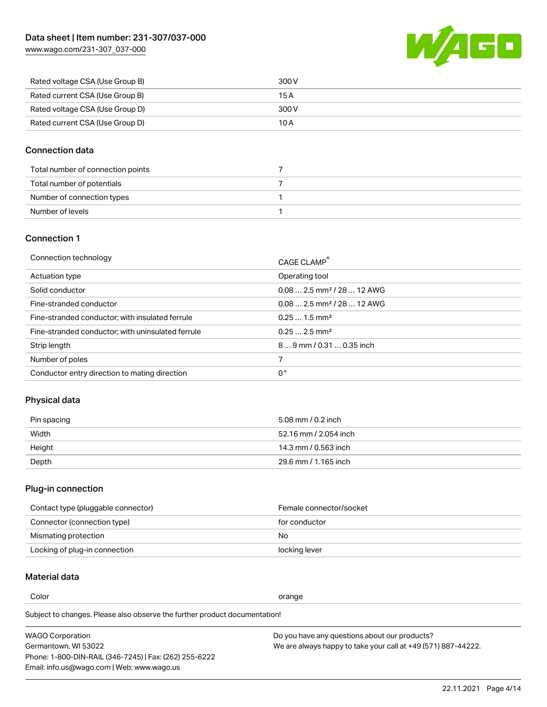

| Rated voltage CSA (Use Group B) | 300 V |
|---------------------------------|-------|
| Rated current CSA (Use Group B) | 15 A  |
| Rated voltage CSA (Use Group D) | 300 V |
| Rated current CSA (Use Group D) | 10 A  |

### Connection data

| Total number of connection points |  |
|-----------------------------------|--|
| Total number of potentials        |  |
| Number of connection types        |  |
| Number of levels                  |  |

#### Connection 1

| Connection technology                             | CAGE CLAMP <sup>®</sup>                 |
|---------------------------------------------------|-----------------------------------------|
| Actuation type                                    | Operating tool                          |
| Solid conductor                                   | $0.082.5$ mm <sup>2</sup> / 28  12 AWG  |
| Fine-stranded conductor                           | $0.08$ 2.5 mm <sup>2</sup> / 28  12 AWG |
| Fine-stranded conductor; with insulated ferrule   | $0.251.5$ mm <sup>2</sup>               |
| Fine-stranded conductor; with uninsulated ferrule | $0.252.5$ mm <sup>2</sup>               |
| Strip length                                      | 89 mm / 0.31  0.35 inch                 |
| Number of poles                                   |                                         |
| Conductor entry direction to mating direction     | 0°                                      |

# Physical data

| Pin spacing | 5.08 mm / 0.2 inch    |
|-------------|-----------------------|
| Width       | 52.16 mm / 2.054 inch |
| Height      | 14.3 mm / 0.563 inch  |
| Depth       | 29.6 mm / 1.165 inch  |

# Plug-in connection

| Contact type (pluggable connector) | Female connector/socket |
|------------------------------------|-------------------------|
| Connector (connection type)        | for conductor           |
| Mismating protection               | No                      |
| Locking of plug-in connection      | locking lever           |

### Material data

Color contracts and contracts of the contracts of the contracts of the contracts of the contracts of the contracts of the contracts of the contracts of the contracts of the contracts of the contracts of the contracts of th

Subject to changes. Please also observe the further product documentation! Material group I

| <b>WAGO Corporation</b>                                | Do you have any questions about our products?                 |
|--------------------------------------------------------|---------------------------------------------------------------|
| Germantown, WI 53022                                   | We are always happy to take your call at +49 (571) 887-44222. |
| Phone: 1-800-DIN-RAIL (346-7245)   Fax: (262) 255-6222 |                                                               |
| Email: info.us@wago.com   Web: www.wago.us             |                                                               |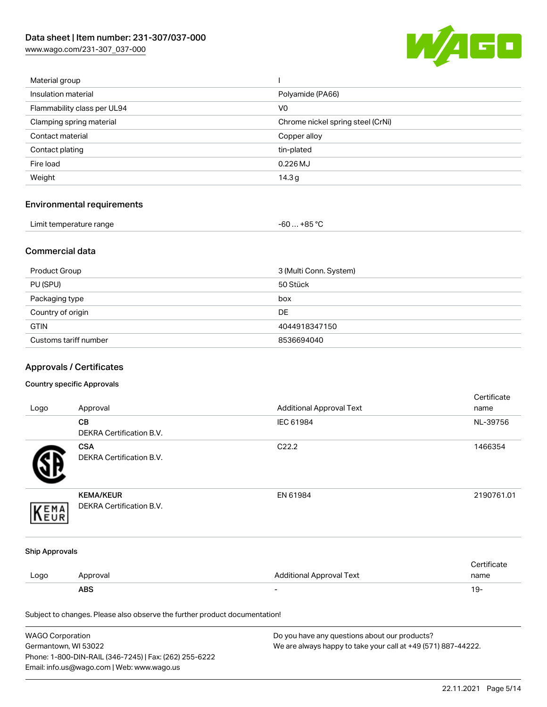

| Material group              |                                   |
|-----------------------------|-----------------------------------|
| Insulation material         | Polyamide (PA66)                  |
| Flammability class per UL94 | V <sub>0</sub>                    |
| Clamping spring material    | Chrome nickel spring steel (CrNi) |
| Contact material            | Copper alloy                      |
| Contact plating             | tin-plated                        |
| Fire load                   | $0.226$ MJ                        |
| Weight                      | 14.3 <sub>g</sub>                 |
|                             |                                   |

# Environmental requirements

| Limit temperature range | $-60+85 °C$ |  |
|-------------------------|-------------|--|
|-------------------------|-------------|--|

### Commercial data

| Product Group         | 3 (Multi Conn. System) |
|-----------------------|------------------------|
| PU (SPU)              | 50 Stück               |
| Packaging type        | box                    |
| Country of origin     | <b>DE</b>              |
| <b>GTIN</b>           | 4044918347150          |
| Customs tariff number | 8536694040             |

# Approvals / Certificates

#### Country specific Approvals

|                       |                                                                            |                                 | Certificate |
|-----------------------|----------------------------------------------------------------------------|---------------------------------|-------------|
| Logo                  | Approval                                                                   | <b>Additional Approval Text</b> | name        |
|                       | CB                                                                         | IEC 61984                       | NL-39756    |
|                       | DEKRA Certification B.V.                                                   |                                 |             |
|                       | <b>CSA</b>                                                                 | C22.2                           | 1466354     |
|                       | <b>DEKRA Certification B.V.</b>                                            |                                 |             |
|                       | <b>KEMA/KEUR</b>                                                           | EN 61984                        | 2190761.01  |
| EMA                   | DEKRA Certification B.V.                                                   |                                 |             |
| <b>Ship Approvals</b> |                                                                            |                                 |             |
|                       |                                                                            |                                 | Certificate |
| Logo                  | Approval                                                                   | <b>Additional Approval Text</b> | name        |
|                       | <b>ABS</b>                                                                 |                                 | $19 -$      |
|                       | Subject to changes. Please also observe the further product documentation! |                                 |             |

| <b>WAGO Corporation</b>                                | Do you have any questions about our products?                 |
|--------------------------------------------------------|---------------------------------------------------------------|
| Germantown, WI 53022                                   | We are always happy to take your call at +49 (571) 887-44222. |
| Phone: 1-800-DIN-RAIL (346-7245)   Fax: (262) 255-6222 |                                                               |
| Email: info.us@wago.com   Web: www.wago.us             |                                                               |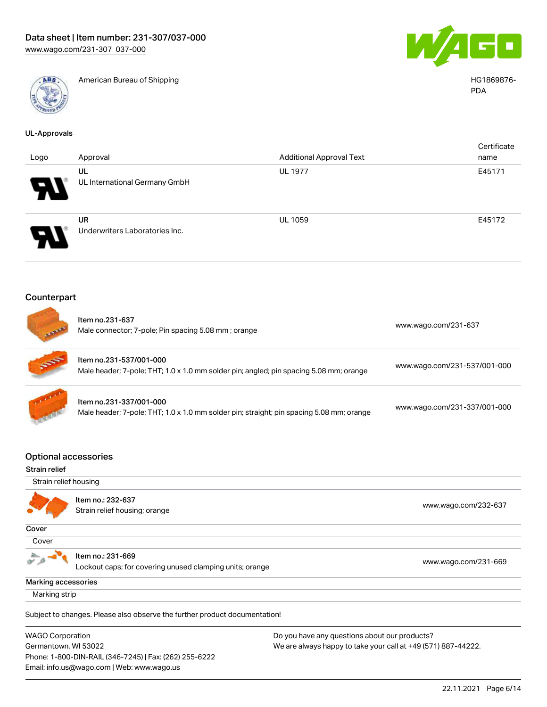Email: info.us@wago.com | Web: www.wago.us



American Bureau of Shipping **American Bureau of Shipping**  $\overline{A}$ 



PDA

| <b>UL-Approvals</b>                                                                                                                                                                                                         |                                                                                                                     |                                 |                              |  |
|-----------------------------------------------------------------------------------------------------------------------------------------------------------------------------------------------------------------------------|---------------------------------------------------------------------------------------------------------------------|---------------------------------|------------------------------|--|
| Logo                                                                                                                                                                                                                        | Approval                                                                                                            | <b>Additional Approval Text</b> | Certificate<br>name          |  |
|                                                                                                                                                                                                                             | UL<br>UL International Germany GmbH                                                                                 | <b>UL 1977</b>                  | E45171                       |  |
|                                                                                                                                                                                                                             | <b>UR</b><br>Underwriters Laboratories Inc.                                                                         | <b>UL 1059</b>                  | E45172                       |  |
| Counterpart                                                                                                                                                                                                                 |                                                                                                                     |                                 |                              |  |
|                                                                                                                                                                                                                             | Item no.231-637<br>Male connector; 7-pole; Pin spacing 5.08 mm; orange                                              |                                 | www.wago.com/231-637         |  |
|                                                                                                                                                                                                                             | Item no.231-537/001-000<br>Male header; 7-pole; THT; 1.0 x 1.0 mm solder pin; angled; pin spacing 5.08 mm; orange   |                                 | www.wago.com/231-537/001-000 |  |
|                                                                                                                                                                                                                             | Item no.231-337/001-000<br>Male header; 7-pole; THT; 1.0 x 1.0 mm solder pin; straight; pin spacing 5.08 mm; orange |                                 | www.wago.com/231-337/001-000 |  |
| <b>Optional accessories</b><br>Strain relief                                                                                                                                                                                |                                                                                                                     |                                 |                              |  |
| Strain relief housing                                                                                                                                                                                                       |                                                                                                                     |                                 |                              |  |
|                                                                                                                                                                                                                             | Item no.: 232-637<br>Strain relief housing; orange                                                                  |                                 | www.wago.com/232-637         |  |
| Cover                                                                                                                                                                                                                       |                                                                                                                     |                                 |                              |  |
| Cover                                                                                                                                                                                                                       |                                                                                                                     |                                 |                              |  |
|                                                                                                                                                                                                                             | Item no.: 231-669<br>Lockout caps; for covering unused clamping units; orange                                       |                                 | www.wago.com/231-669         |  |
| Marking accessories                                                                                                                                                                                                         |                                                                                                                     |                                 |                              |  |
| Marking strip                                                                                                                                                                                                               |                                                                                                                     |                                 |                              |  |
|                                                                                                                                                                                                                             | Subject to changes. Please also observe the further product documentation!                                          |                                 |                              |  |
| <b>WAGO Corporation</b><br>Do you have any questions about our products?<br>Germantown, WI 53022<br>We are always happy to take your call at +49 (571) 887-44222.<br>Phone: 1-800-DIN-RAIL (346-7245)   Fax: (262) 255-6222 |                                                                                                                     |                                 |                              |  |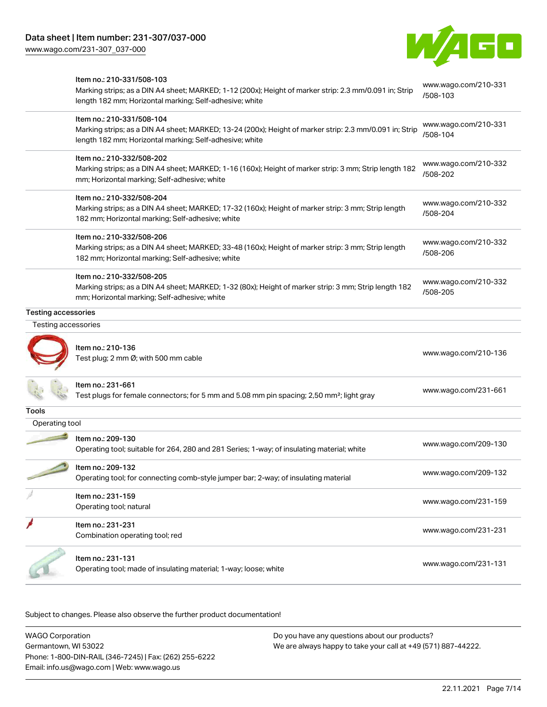

|                            | Item no.: 210-331/508-103                                                                                                                                          | www.wago.com/210-331 |
|----------------------------|--------------------------------------------------------------------------------------------------------------------------------------------------------------------|----------------------|
|                            | Marking strips; as a DIN A4 sheet; MARKED; 1-12 (200x); Height of marker strip: 2.3 mm/0.091 in; Strip<br>length 182 mm; Horizontal marking; Self-adhesive; white  | /508-103             |
|                            | Item no.: 210-331/508-104                                                                                                                                          | www.wago.com/210-331 |
|                            | Marking strips; as a DIN A4 sheet; MARKED; 13-24 (200x); Height of marker strip: 2.3 mm/0.091 in; Strip<br>length 182 mm; Horizontal marking; Self-adhesive; white | /508-104             |
|                            | Item no.: 210-332/508-202                                                                                                                                          | www.wago.com/210-332 |
|                            | Marking strips; as a DIN A4 sheet; MARKED; 1-16 (160x); Height of marker strip: 3 mm; Strip length 182<br>mm; Horizontal marking; Self-adhesive; white             | /508-202             |
|                            | Item no.: 210-332/508-204                                                                                                                                          | www.wago.com/210-332 |
|                            | Marking strips; as a DIN A4 sheet; MARKED; 17-32 (160x); Height of marker strip: 3 mm; Strip length<br>182 mm; Horizontal marking; Self-adhesive; white            | /508-204             |
|                            | Item no.: 210-332/508-206                                                                                                                                          | www.wago.com/210-332 |
|                            | Marking strips; as a DIN A4 sheet; MARKED; 33-48 (160x); Height of marker strip: 3 mm; Strip length<br>182 mm; Horizontal marking; Self-adhesive; white            | /508-206             |
|                            | Item no.: 210-332/508-205                                                                                                                                          | www.wago.com/210-332 |
|                            | Marking strips; as a DIN A4 sheet; MARKED; 1-32 (80x); Height of marker strip: 3 mm; Strip length 182<br>mm; Horizontal marking; Self-adhesive; white              | /508-205             |
| <b>Testing accessories</b> |                                                                                                                                                                    |                      |
| Testing accessories        |                                                                                                                                                                    |                      |
|                            | Item no.: 210-136                                                                                                                                                  |                      |
|                            | Test plug; 2 mm Ø; with 500 mm cable                                                                                                                               | www.wago.com/210-136 |
|                            | Item no.: 231-661                                                                                                                                                  |                      |
|                            | Test plugs for female connectors; for 5 mm and 5.08 mm pin spacing; 2,50 mm <sup>2</sup> ; light gray                                                              | www.wago.com/231-661 |
| Tools                      |                                                                                                                                                                    |                      |
| Operating tool             |                                                                                                                                                                    |                      |
|                            | Item no.: 209-130<br>Operating tool; suitable for 264, 280 and 281 Series; 1-way; of insulating material; white                                                    | www.wago.com/209-130 |
|                            | Item no.: 209-132                                                                                                                                                  |                      |
|                            | Operating tool; for connecting comb-style jumper bar; 2-way; of insulating material                                                                                | www.wago.com/209-132 |
|                            | Item no.: 231-159                                                                                                                                                  | www.wago.com/231-159 |
|                            | Operating tool; natural                                                                                                                                            |                      |
|                            | Item no.: 231-231<br>Combination operating tool; red                                                                                                               | www.wago.com/231-231 |
|                            | Item no.: 231-131<br>Operating tool; made of insulating material; 1-way; loose; white                                                                              | www.wago.com/231-131 |

Subject to changes. Please also observe the further product documentation!

WAGO Corporation Germantown, WI 53022 Phone: 1-800-DIN-RAIL (346-7245) | Fax: (262) 255-6222 Email: info.us@wago.com | Web: www.wago.us Do you have any questions about our products? We are always happy to take your call at +49 (571) 887-44222.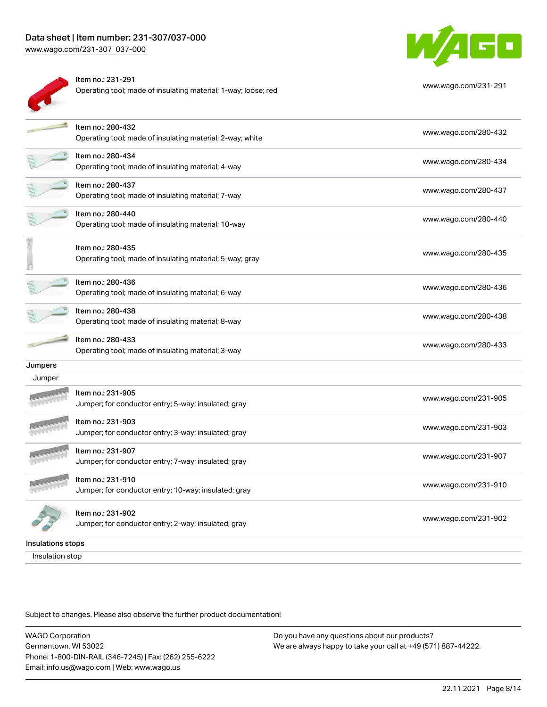## Data sheet | Item number: 231-307/037-000

www.wag



| eet   Item number: 231-307/037-000<br>o.com/231-307_037-000                         | WAG D                |
|-------------------------------------------------------------------------------------|----------------------|
| Item no.: 231-291<br>Operating tool; made of insulating material; 1-way; loose; red | www.wago.com/231-291 |
| Item no.: 280-432<br>Operating tool; made of insulating material; 2-way; white      | www.wago.com/280-432 |
| Item no.: 280-434<br>Operating tool; made of insulating material; 4-way             | www.wago.com/280-434 |
| Item no.: 280-437<br>Operating tool; made of insulating material; 7-way             | www.wago.com/280-437 |
| Item no.: 280-440<br>Operating tool; made of insulating material; 10-way            | www.wago.com/280-440 |
| Item no.: 280-435<br>Operating tool; made of insulating material; 5-way; gray       | www.wago.com/280-435 |
| Item no.: 280-436<br>Operating tool; made of insulating material; 6-way             | www.wago.com/280-436 |

Item no.: 280-438 nten no... 260-436<br>Operating tool; made of insulating material; 8-way [www.wago.com/280-438](http://www.wago.com/280-438) Item no.: 280-433

nem no... 260-433<br>Operating tool; made of insulating material; 3-way [www.wago.com/280-433](http://www.wago.com/280-433)

**Jumpers** 

| Jumper |                                                                           |                      |
|--------|---------------------------------------------------------------------------|----------------------|
|        | Item no.: 231-905<br>Jumper; for conductor entry; 5-way; insulated; gray  | www.wago.com/231-905 |
|        | Item no.: 231-903<br>Jumper; for conductor entry; 3-way; insulated; gray  | www.wago.com/231-903 |
|        | Item no.: 231-907<br>Jumper; for conductor entry; 7-way; insulated; gray  | www.wago.com/231-907 |
|        | Item no.: 231-910<br>Jumper; for conductor entry; 10-way; insulated; gray | www.wago.com/231-910 |
|        | Item no.: 231-902<br>Jumper; for conductor entry; 2-way; insulated; gray  | www.wago.com/231-902 |

Insulations stops

Insulation stop

Subject to changes. Please also observe the further product documentation!

WAGO Corporation Germantown, WI 53022 Phone: 1-800-DIN-RAIL (346-7245) | Fax: (262) 255-6222 Email: info.us@wago.com | Web: www.wago.us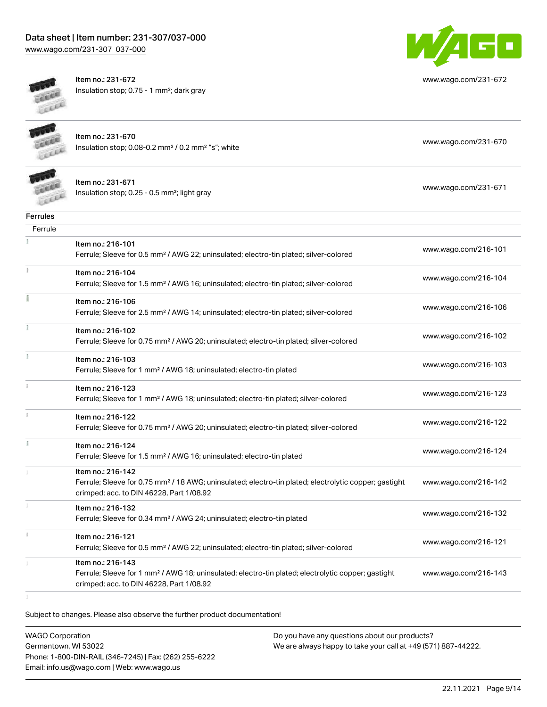# Data sheet | Item number: 231-307/037-000

[www.wago.com/231-307\\_037-000](http://www.wago.com/231-307_037-000)



Item no.: 231-672 Insulation stop; 0.75 - 1 mm²; dark gray



[www.wago.com/231-672](http://www.wago.com/231-672)



Item no.: 231-670 Insulation stop; 0.08-0.2 mm² / 0.2 mm² "s"; white [www.wago.com/231-670](http://www.wago.com/231-670) www.wago.com/231-670



Item no.: 231-671 Insulation stop; 0.25 - 0.5 mm²; light gray [www.wago.com/231-671](http://www.wago.com/231-671)

| <b>Ferrules</b> |                                                                                                                                                               |                      |
|-----------------|---------------------------------------------------------------------------------------------------------------------------------------------------------------|----------------------|
| Ferrule         |                                                                                                                                                               |                      |
|                 | Item no.: 216-101                                                                                                                                             | www.wago.com/216-101 |
|                 | Ferrule; Sleeve for 0.5 mm <sup>2</sup> / AWG 22; uninsulated; electro-tin plated; silver-colored                                                             |                      |
| ŧ               | Item no.: 216-104                                                                                                                                             |                      |
|                 | Ferrule; Sleeve for 1.5 mm <sup>2</sup> / AWG 16; uninsulated; electro-tin plated; silver-colored                                                             | www.wago.com/216-104 |
| Ĩ               | Item no.: 216-106                                                                                                                                             |                      |
|                 | Ferrule; Sleeve for 2.5 mm <sup>2</sup> / AWG 14; uninsulated; electro-tin plated; silver-colored                                                             | www.wago.com/216-106 |
|                 | Item no.: 216-102                                                                                                                                             |                      |
|                 | Ferrule; Sleeve for 0.75 mm <sup>2</sup> / AWG 20; uninsulated; electro-tin plated; silver-colored                                                            | www.wago.com/216-102 |
|                 | Item no.: 216-103                                                                                                                                             |                      |
|                 | Ferrule; Sleeve for 1 mm <sup>2</sup> / AWG 18; uninsulated; electro-tin plated                                                                               | www.wago.com/216-103 |
| Î.              | Item no.: 216-123                                                                                                                                             |                      |
|                 | Ferrule; Sleeve for 1 mm <sup>2</sup> / AWG 18; uninsulated; electro-tin plated; silver-colored                                                               | www.wago.com/216-123 |
| ī.              | Item no.: 216-122                                                                                                                                             | www.wago.com/216-122 |
|                 | Ferrule; Sleeve for 0.75 mm <sup>2</sup> / AWG 20; uninsulated; electro-tin plated; silver-colored                                                            |                      |
| Ĭ.              | Item no.: 216-124                                                                                                                                             |                      |
|                 | Ferrule; Sleeve for 1.5 mm <sup>2</sup> / AWG 16; uninsulated; electro-tin plated                                                                             | www.wago.com/216-124 |
|                 | Item no.: 216-142                                                                                                                                             |                      |
|                 | Ferrule; Sleeve for 0.75 mm <sup>2</sup> / 18 AWG; uninsulated; electro-tin plated; electrolytic copper; gastight<br>crimped; acc. to DIN 46228, Part 1/08.92 | www.wago.com/216-142 |
|                 |                                                                                                                                                               |                      |
|                 | Item no.: 216-132<br>Ferrule; Sleeve for 0.34 mm <sup>2</sup> / AWG 24; uninsulated; electro-tin plated                                                       | www.wago.com/216-132 |
|                 |                                                                                                                                                               |                      |
|                 | Item no.: 216-121                                                                                                                                             | www.wago.com/216-121 |
|                 | Ferrule; Sleeve for 0.5 mm <sup>2</sup> / AWG 22; uninsulated; electro-tin plated; silver-colored                                                             |                      |
|                 | Item no.: 216-143                                                                                                                                             |                      |
|                 | Ferrule; Sleeve for 1 mm <sup>2</sup> / AWG 18; uninsulated; electro-tin plated; electrolytic copper; gastight<br>crimped; acc. to DIN 46228, Part 1/08.92    | www.wago.com/216-143 |
|                 |                                                                                                                                                               |                      |

Subject to changes. Please also observe the further product documentation!

WAGO Corporation Germantown, WI 53022 Phone: 1-800-DIN-RAIL (346-7245) | Fax: (262) 255-6222 Email: info.us@wago.com | Web: www.wago.us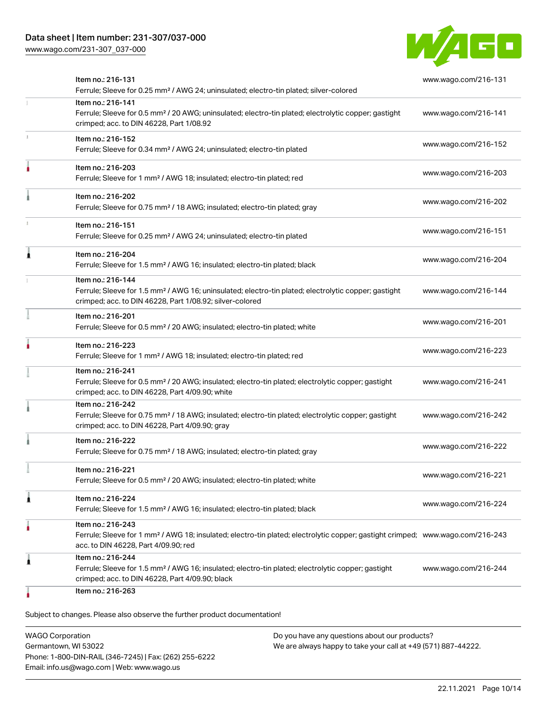

| Item no.: 216-131<br>Ferrule; Sleeve for 0.25 mm <sup>2</sup> / AWG 24; uninsulated; electro-tin plated; silver-colored                                                                                 | www.wago.com/216-131 |
|---------------------------------------------------------------------------------------------------------------------------------------------------------------------------------------------------------|----------------------|
| Item no.: 216-141<br>Ferrule; Sleeve for 0.5 mm <sup>2</sup> / 20 AWG; uninsulated; electro-tin plated; electrolytic copper; gastight<br>crimped; acc. to DIN 46228, Part 1/08.92                       | www.wago.com/216-141 |
| Item no.: 216-152<br>Ferrule; Sleeve for 0.34 mm <sup>2</sup> / AWG 24; uninsulated; electro-tin plated                                                                                                 | www.wago.com/216-152 |
| Item no.: 216-203<br>Ferrule; Sleeve for 1 mm <sup>2</sup> / AWG 18; insulated; electro-tin plated; red                                                                                                 | www.wago.com/216-203 |
| Item no.: 216-202<br>Ferrule; Sleeve for 0.75 mm <sup>2</sup> / 18 AWG; insulated; electro-tin plated; gray                                                                                             | www.wago.com/216-202 |
| Item no.: 216-151<br>Ferrule; Sleeve for 0.25 mm <sup>2</sup> / AWG 24; uninsulated; electro-tin plated                                                                                                 | www.wago.com/216-151 |
| Item no.: 216-204<br>Ferrule; Sleeve for 1.5 mm <sup>2</sup> / AWG 16; insulated; electro-tin plated; black                                                                                             | www.wago.com/216-204 |
| Item no.: 216-144<br>Ferrule; Sleeve for 1.5 mm <sup>2</sup> / AWG 16; uninsulated; electro-tin plated; electrolytic copper; gastight<br>crimped; acc. to DIN 46228, Part 1/08.92; silver-colored       | www.wago.com/216-144 |
| Item no.: 216-201<br>Ferrule; Sleeve for 0.5 mm <sup>2</sup> / 20 AWG; insulated; electro-tin plated; white                                                                                             | www.wago.com/216-201 |
| Item no.: 216-223<br>Ferrule; Sleeve for 1 mm <sup>2</sup> / AWG 18; insulated; electro-tin plated; red                                                                                                 | www.wago.com/216-223 |
| Item no.: 216-241<br>Ferrule; Sleeve for 0.5 mm <sup>2</sup> / 20 AWG; insulated; electro-tin plated; electrolytic copper; gastight<br>crimped; acc. to DIN 46228, Part 4/09.90; white                  | www.wago.com/216-241 |
| Item no.: 216-242<br>Ferrule; Sleeve for 0.75 mm <sup>2</sup> / 18 AWG; insulated; electro-tin plated; electrolytic copper; gastight<br>crimped; acc. to DIN 46228, Part 4/09.90; gray                  | www.wago.com/216-242 |
| Item no.: 216-222<br>Ferrule; Sleeve for 0.75 mm <sup>2</sup> / 18 AWG; insulated; electro-tin plated; gray                                                                                             | www.wago.com/216-222 |
| Item no.: 216-221<br>Ferrule; Sleeve for 0.5 mm <sup>2</sup> / 20 AWG; insulated; electro-tin plated; white                                                                                             | www.wago.com/216-221 |
| Item no.: 216-224<br>Ferrule; Sleeve for 1.5 mm <sup>2</sup> / AWG 16; insulated; electro-tin plated; black                                                                                             | www.wago.com/216-224 |
| Item no.: 216-243<br>Ferrule; Sleeve for 1 mm <sup>2</sup> / AWG 18; insulated; electro-tin plated; electrolytic copper; gastight crimped; www.wago.com/216-243<br>acc. to DIN 46228, Part 4/09.90; red |                      |
| Item no.: 216-244<br>Ferrule; Sleeve for 1.5 mm <sup>2</sup> / AWG 16; insulated; electro-tin plated; electrolytic copper; gastight<br>crimped; acc. to DIN 46228, Part 4/09.90; black                  | www.wago.com/216-244 |
| Item no.: 216-263                                                                                                                                                                                       |                      |

WAGO Corporation Germantown, WI 53022 Phone: 1-800-DIN-RAIL (346-7245) | Fax: (262) 255-6222 Email: info.us@wago.com | Web: www.wago.us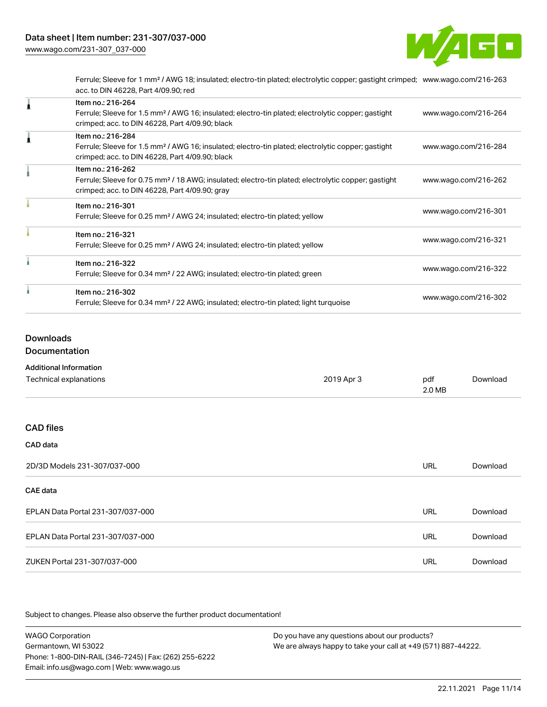

Ferrule; Sleeve for 1 mm² / AWG 18; insulated; electro-tin plated; electrolytic copper; gastight crimped; [www.wago.com/216-263](http://www.wago.com/216-263) acc. to DIN 46228, Part 4/09.90; red

| Item no.: 216-264<br>Ferrule; Sleeve for 1.5 mm <sup>2</sup> / AWG 16; insulated; electro-tin plated; electrolytic copper; gastight<br>crimped; acc. to DIN 46228, Part 4/09.90; black | www.wago.com/216-264 |
|----------------------------------------------------------------------------------------------------------------------------------------------------------------------------------------|----------------------|
| Item no.: 216-284<br>Ferrule; Sleeve for 1.5 mm <sup>2</sup> / AWG 16; insulated; electro-tin plated; electrolytic copper; gastight<br>crimped; acc. to DIN 46228, Part 4/09.90; black | www.wago.com/216-284 |
| Item no.: 216-262<br>Ferrule; Sleeve for 0.75 mm <sup>2</sup> / 18 AWG; insulated; electro-tin plated; electrolytic copper; gastight<br>crimped; acc. to DIN 46228, Part 4/09.90; gray | www.wago.com/216-262 |
| Item no.: 216-301<br>Ferrule; Sleeve for 0.25 mm <sup>2</sup> / AWG 24; insulated; electro-tin plated; yellow                                                                          | www.wago.com/216-301 |
| Item no.: 216-321<br>Ferrule; Sleeve for 0.25 mm <sup>2</sup> / AWG 24; insulated; electro-tin plated; yellow                                                                          | www.wago.com/216-321 |
| Item no.: 216-322<br>Ferrule; Sleeve for 0.34 mm <sup>2</sup> / 22 AWG; insulated; electro-tin plated; green                                                                           | www.wago.com/216-322 |
| Item no.: 216-302<br>Ferrule; Sleeve for 0.34 mm <sup>2</sup> / 22 AWG; insulated; electro-tin plated; light turquoise                                                                 | www.wago.com/216-302 |

### Downloads

Documentation

| <b>Additional Information</b>     |            |               |          |
|-----------------------------------|------------|---------------|----------|
| Technical explanations            | 2019 Apr 3 | pdf<br>2.0 MB | Download |
|                                   |            |               |          |
| <b>CAD files</b>                  |            |               |          |
| CAD data                          |            |               |          |
| 2D/3D Models 231-307/037-000      |            | URL           | Download |
| CAE data                          |            |               |          |
| EPLAN Data Portal 231-307/037-000 |            | <b>URL</b>    | Download |
| EPLAN Data Portal 231-307/037-000 |            | URL           | Download |

Subject to changes. Please also observe the further product documentation!

WAGO Corporation Germantown, WI 53022 Phone: 1-800-DIN-RAIL (346-7245) | Fax: (262) 255-6222 Email: info.us@wago.com | Web: www.wago.us Do you have any questions about our products? We are always happy to take your call at +49 (571) 887-44222.

ZUKEN Portal 231-307/037-000 URL [Download](https://www.wago.com/global/d/Zuken_URLS_231-307_037-000)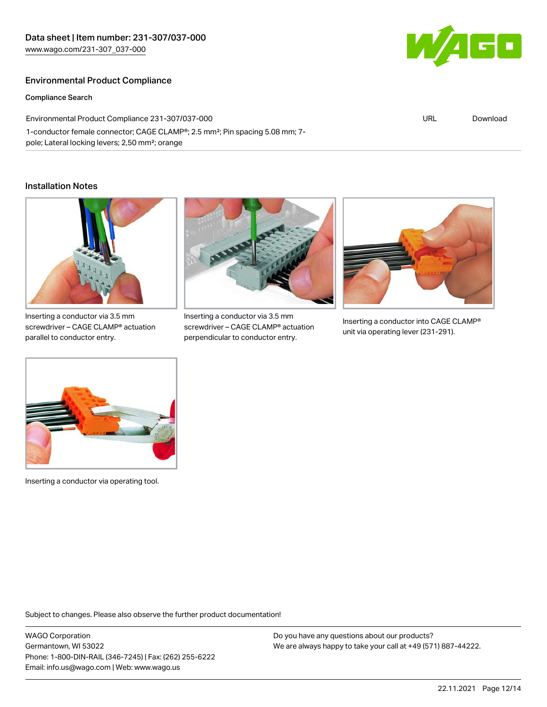### Environmental Product Compliance

#### Compliance Search

Environmental Product Compliance 231-307/037-000 1-conductor female connector; CAGE CLAMP®; 2.5 mm²; Pin spacing 5.08 mm; 7 pole; Lateral locking levers; 2,50 mm²; orange

#### Installation Notes



Inserting a conductor via 3.5 mm screwdriver – CAGE CLAMP® actuation parallel to conductor entry.



Inserting a conductor via 3.5 mm screwdriver – CAGE CLAMP® actuation perpendicular to conductor entry.



Inserting a conductor into CAGE CLAMP® unit via operating lever (231-291).



Inserting a conductor via operating tool.

Subject to changes. Please also observe the further product documentation!

WAGO Corporation Germantown, WI 53022 Phone: 1-800-DIN-RAIL (346-7245) | Fax: (262) 255-6222 Email: info.us@wago.com | Web: www.wago.us

Do you have any questions about our products? We are always happy to take your call at +49 (571) 887-44222.



URL [Download](https://www.wago.com/global/d/ComplianceLinkMediaContainer_231-307_037-000)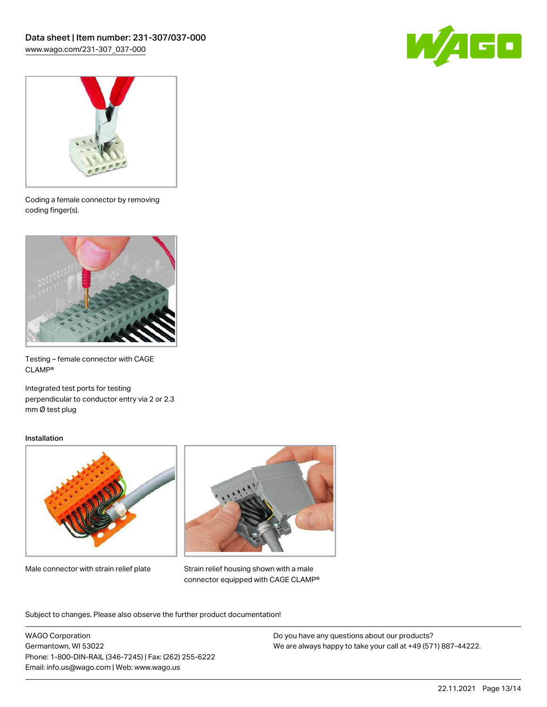



Coding a female connector by removing coding finger(s).



Testing – female connector with CAGE CLAMP®

Integrated test ports for testing perpendicular to conductor entry via 2 or 2.3 mm Ø test plug

#### Installation



Male connector with strain relief plate



Strain relief housing shown with a male connector equipped with CAGE CLAMP®

Subject to changes. Please also observe the further product documentation!

WAGO Corporation Germantown, WI 53022 Phone: 1-800-DIN-RAIL (346-7245) | Fax: (262) 255-6222 Email: info.us@wago.com | Web: www.wago.us